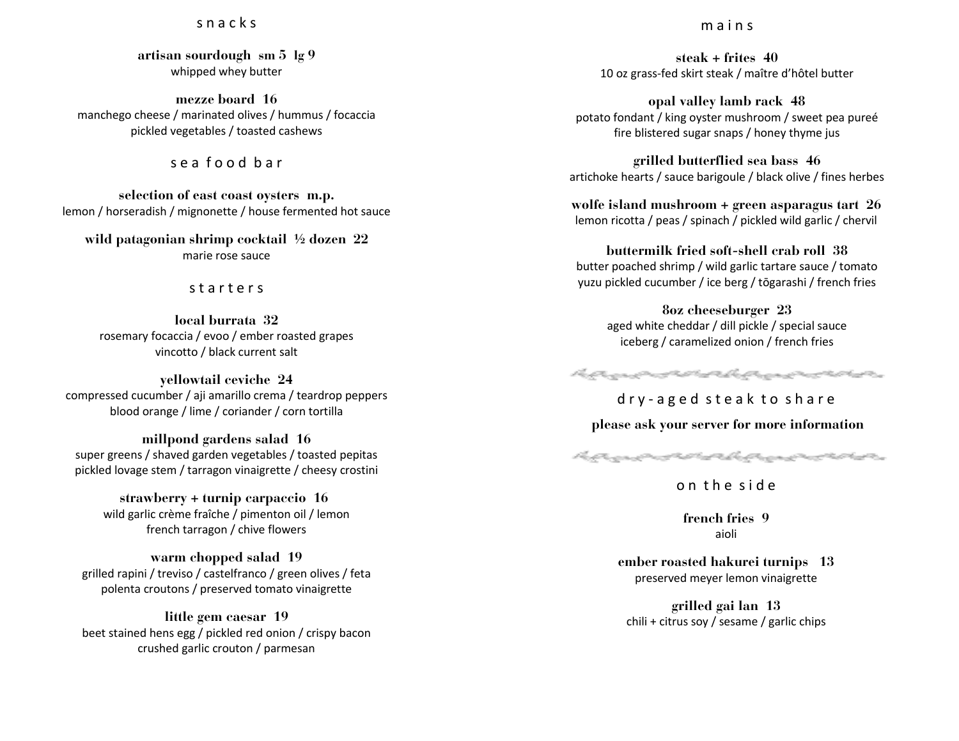### s n a c k s

**artisan sourdough sm 5 lg 9** whipped whey butter

**mezze board 16** manchego cheese / marinated olives / hummus / focaccia pickled vegetables / toasted cashews

### s e a f o o d b a r

**selection of east coast oysters m.p.** lemon / horseradish / mignonette / house fermented hot sauce

**wild patagonian shrimp cocktail ½ dozen 22** marie rose sauce

#### s t a r t e r s

**local burrata 32** rosemary focaccia / evoo / ember roasted grapes vincotto / black current salt

**yellowtail ceviche 24** compressed cucumber / aji amarillo crema / teardrop peppers blood orange / lime / coriander / corn tortilla

**millpond gardens salad 16** super greens / shaved garden vegetables / toasted pepitas pickled lovage stem / tarragon vinaigrette / cheesy crostini

**strawberry + turnip carpaccio 16** wild garlic crème fraîche / pimenton oil / lemon french tarragon / chive flowers

**warm chopped salad 19** grilled rapini / treviso / castelfranco / green olives / feta polenta croutons / preserved tomato vinaigrette

**little gem caesar 19** beet stained hens egg / pickled red onion / crispy bacon crushed garlic crouton / parmesan

#### m a i n s

**steak + frites 40** 10 oz grass-fed skirt steak / maître d'hôtel butter

**opal valley lamb rack 48** potato fondant / king oyster mushroom / sweet pea pureé fire blistered sugar snaps / honey thyme jus

**grilled butterflied sea bass 46** artichoke hearts / sauce barigoule / black olive / fines herbes

**wolfe island mushroom + green asparagus tart 26** lemon ricotta / peas / spinach / pickled wild garlic / chervil

**buttermilk fried soft-shell crab roll 38** butter poached shrimp / wild garlic tartare sauce / tomato yuzu pickled cucumber / ice berg / tōgarashi / french fries

> **8oz cheeseburger 23** aged white cheddar / dill pickle / special sauce iceberg / caramelized onion / french fries

harmonister hermonister

d r y - a g e d s t e a k t o s h a r e

**please ask your server for more information**



o n t h e s i d e

**french fries 9** aioli

**ember roasted hakurei turnips 13** preserved meyer lemon vinaigrette

**grilled gai lan 13** chili + citrus soy / sesame / garlic chips